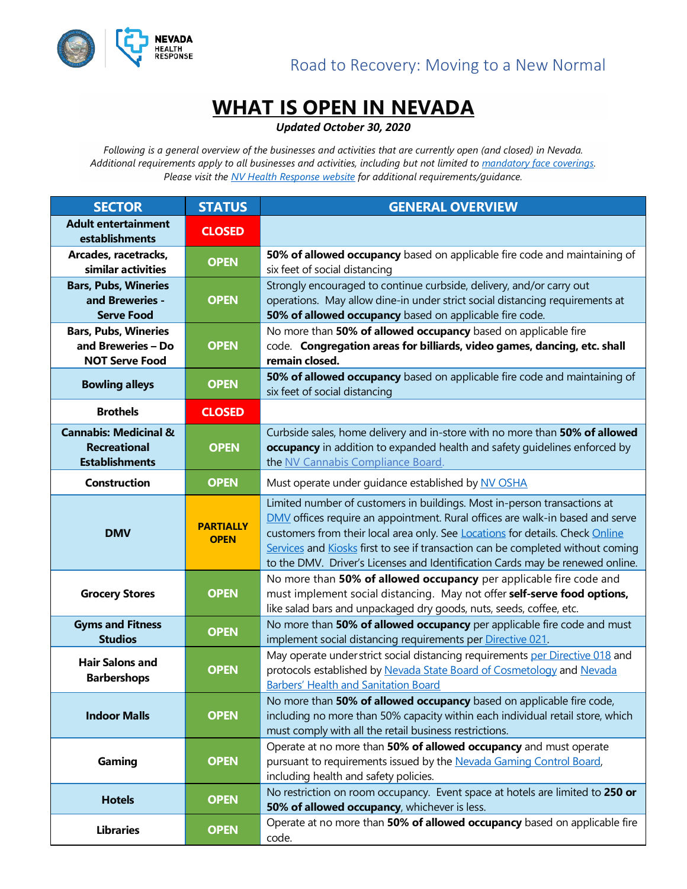



## **WHAT IS OPEN IN NEVADA**

*Updated October 30, 2020*

*Following is a general overview of the businesses and activities that are currently open (and closed) in Nevada. Additional requirements apply to all businesses and activities, including but not limited to [mandatory face coverings.](https://nvhealthresponse.nv.gov/wp-content/uploads/2020/06/Directive-024-Face-Coverings.pdf)  Please visit the [NV Health](https://nvhealthresponse.nv.gov/) Response website for additional requirements/guidance.* 

| <b>SECTOR</b>                                                                    | <b>STATUS</b>                   | <b>GENERAL OVERVIEW</b>                                                                                                                                                                                                                                                                                                                                                                                               |
|----------------------------------------------------------------------------------|---------------------------------|-----------------------------------------------------------------------------------------------------------------------------------------------------------------------------------------------------------------------------------------------------------------------------------------------------------------------------------------------------------------------------------------------------------------------|
| <b>Adult entertainment</b><br>establishments                                     | <b>CLOSED</b>                   |                                                                                                                                                                                                                                                                                                                                                                                                                       |
| Arcades, racetracks,<br>similar activities                                       | <b>OPEN</b>                     | 50% of allowed occupancy based on applicable fire code and maintaining of<br>six feet of social distancing                                                                                                                                                                                                                                                                                                            |
| <b>Bars, Pubs, Wineries</b><br>and Breweries -<br><b>Serve Food</b>              | <b>OPEN</b>                     | Strongly encouraged to continue curbside, delivery, and/or carry out<br>operations. May allow dine-in under strict social distancing requirements at<br>50% of allowed occupancy based on applicable fire code.                                                                                                                                                                                                       |
| <b>Bars, Pubs, Wineries</b><br>and Breweries - Do<br><b>NOT Serve Food</b>       | <b>OPEN</b>                     | No more than 50% of allowed occupancy based on applicable fire<br>code. Congregation areas for billiards, video games, dancing, etc. shall<br>remain closed.                                                                                                                                                                                                                                                          |
| <b>Bowling alleys</b>                                                            | <b>OPEN</b>                     | 50% of allowed occupancy based on applicable fire code and maintaining of<br>six feet of social distancing                                                                                                                                                                                                                                                                                                            |
| <b>Brothels</b>                                                                  | <b>CLOSED</b>                   |                                                                                                                                                                                                                                                                                                                                                                                                                       |
| <b>Cannabis: Medicinal &amp;</b><br><b>Recreational</b><br><b>Establishments</b> | <b>OPEN</b>                     | Curbside sales, home delivery and in-store with no more than 50% of allowed<br>occupancy in addition to expanded health and safety quidelines enforced by<br>the NV Cannabis Compliance Board.                                                                                                                                                                                                                        |
| <b>Construction</b>                                                              | <b>OPEN</b>                     | Must operate under guidance established by NV OSHA                                                                                                                                                                                                                                                                                                                                                                    |
| <b>DMV</b>                                                                       | <b>PARTIALLY</b><br><b>OPEN</b> | Limited number of customers in buildings. Most in-person transactions at<br><b>DMV</b> offices require an appointment. Rural offices are walk-in based and serve<br>customers from their local area only. See Locations for details. Check Online<br>Services and Kiosks first to see if transaction can be completed without coming<br>to the DMV. Driver's Licenses and Identification Cards may be renewed online. |
| <b>Grocery Stores</b>                                                            | <b>OPEN</b>                     | No more than 50% of allowed occupancy per applicable fire code and<br>must implement social distancing. May not offer self-serve food options,<br>like salad bars and unpackaged dry goods, nuts, seeds, coffee, etc.                                                                                                                                                                                                 |
| <b>Gyms and Fitness</b><br><b>Studios</b>                                        | <b>OPEN</b>                     | No more than 50% of allowed occupancy per applicable fire code and must<br>implement social distancing requirements per Directive 021.                                                                                                                                                                                                                                                                                |
| <b>Hair Salons and</b><br><b>Barbershops</b>                                     | <b>OPEN</b>                     | May operate under strict social distancing requirements per Directive 018 and<br>protocols established by Nevada State Board of Cosmetology and Nevada<br><b>Barbers' Health and Sanitation Board</b>                                                                                                                                                                                                                 |
| <b>Indoor Malls</b>                                                              | <b>OPEN</b>                     | No more than 50% of allowed occupancy based on applicable fire code,<br>including no more than 50% capacity within each individual retail store, which<br>must comply with all the retail business restrictions.                                                                                                                                                                                                      |
| Gaming                                                                           | <b>OPEN</b>                     | Operate at no more than 50% of allowed occupancy and must operate<br>pursuant to requirements issued by the Nevada Gaming Control Board,<br>including health and safety policies.                                                                                                                                                                                                                                     |
| <b>Hotels</b>                                                                    | <b>OPEN</b>                     | No restriction on room occupancy. Event space at hotels are limited to 250 or<br>50% of allowed occupancy, whichever is less.                                                                                                                                                                                                                                                                                         |
| <b>Libraries</b>                                                                 | <b>OPEN</b>                     | Operate at no more than 50% of allowed occupancy based on applicable fire<br>code.                                                                                                                                                                                                                                                                                                                                    |